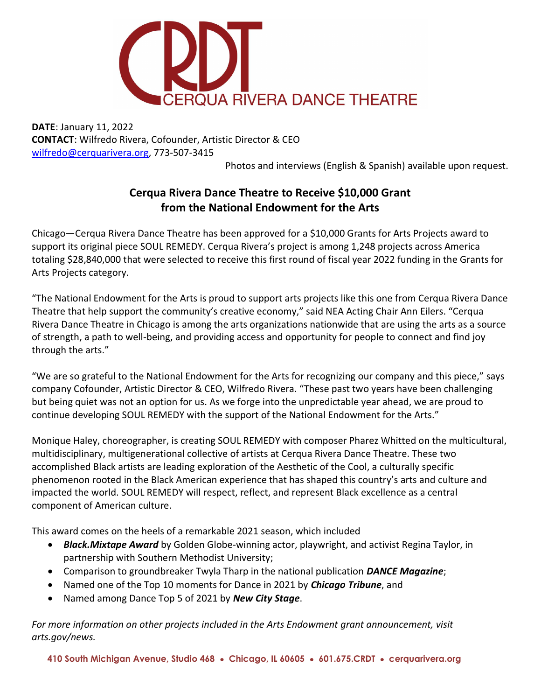

DATE: January 11, 2022 CONTACT: Wilfredo Rivera, Cofounder, Artistic Director & CEO wilfredo@cerquarivera.org, 773-507-3415

Photos and interviews (English & Spanish) available upon request.

## Cerqua Rivera Dance Theatre to Receive \$10,000 Grant from the National Endowment for the Arts

Chicago—Cerqua Rivera Dance Theatre has been approved for a \$10,000 Grants for Arts Projects award to support its original piece SOUL REMEDY. Cerqua Rivera's project is among 1,248 projects across America totaling \$28,840,000 that were selected to receive this first round of fiscal year 2022 funding in the Grants for Arts Projects category.

"The National Endowment for the Arts is proud to support arts projects like this one from Cerqua Rivera Dance Theatre that help support the community's creative economy," said NEA Acting Chair Ann Eilers. "Cerqua Rivera Dance Theatre in Chicago is among the arts organizations nationwide that are using the arts as a source of strength, a path to well-being, and providing access and opportunity for people to connect and find joy through the arts."

"We are so grateful to the National Endowment for the Arts for recognizing our company and this piece," says company Cofounder, Artistic Director & CEO, Wilfredo Rivera. "These past two years have been challenging but being quiet was not an option for us. As we forge into the unpredictable year ahead, we are proud to continue developing SOUL REMEDY with the support of the National Endowment for the Arts."

Monique Haley, choreographer, is creating SOUL REMEDY with composer Pharez Whitted on the multicultural, multidisciplinary, multigenerational collective of artists at Cerqua Rivera Dance Theatre. These two accomplished Black artists are leading exploration of the Aesthetic of the Cool, a culturally specific phenomenon rooted in the Black American experience that has shaped this country's arts and culture and impacted the world. SOUL REMEDY will respect, reflect, and represent Black excellence as a central component of American culture.

This award comes on the heels of a remarkable 2021 season, which included

- Black. Mixtape Award by Golden Globe-winning actor, playwright, and activist Regina Taylor, in partnership with Southern Methodist University;
- Comparison to groundbreaker Twyla Tharp in the national publication **DANCE Magazine**;
- Named one of the Top 10 moments for Dance in 2021 by *Chicago Tribune*, and
- Named among Dance Top 5 of 2021 by New City Stage.

For more information on other projects included in the Arts Endowment grant announcement, visit arts.gov/news.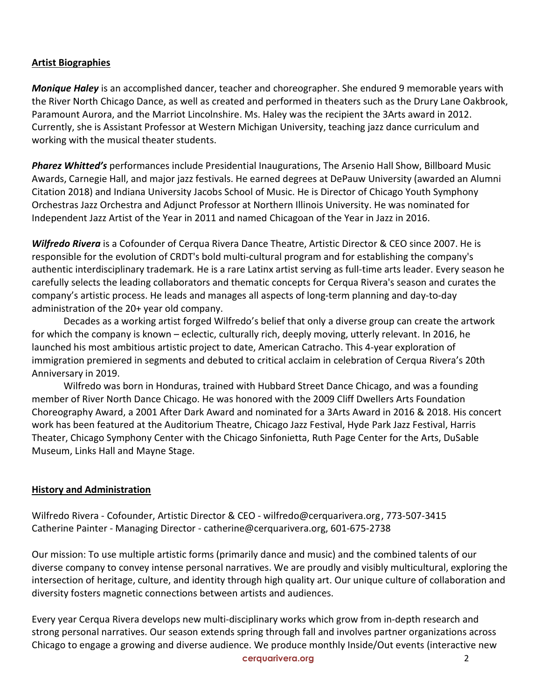## Artist Biographies

**Monique Haley** is an accomplished dancer, teacher and choreographer. She endured 9 memorable years with the River North Chicago Dance, as well as created and performed in theaters such as the Drury Lane Oakbrook, Paramount Aurora, and the Marriot Lincolnshire. Ms. Haley was the recipient the 3Arts award in 2012. Currently, she is Assistant Professor at Western Michigan University, teaching jazz dance curriculum and working with the musical theater students.

Pharez Whitted's performances include Presidential Inaugurations, The Arsenio Hall Show, Billboard Music Awards, Carnegie Hall, and major jazz festivals. He earned degrees at DePauw University (awarded an Alumni Citation 2018) and Indiana University Jacobs School of Music. He is Director of Chicago Youth Symphony Orchestras Jazz Orchestra and Adjunct Professor at Northern Illinois University. He was nominated for Independent Jazz Artist of the Year in 2011 and named Chicagoan of the Year in Jazz in 2016.

Wilfredo Rivera is a Cofounder of Cerqua Rivera Dance Theatre, Artistic Director & CEO since 2007. He is responsible for the evolution of CRDT's bold multi-cultural program and for establishing the company's authentic interdisciplinary trademark. He is a rare Latinx artist serving as full-time arts leader. Every season he carefully selects the leading collaborators and thematic concepts for Cerqua Rivera's season and curates the company's artistic process. He leads and manages all aspects of long-term planning and day-to-day administration of the 20+ year old company.

 Decades as a working artist forged Wilfredo's belief that only a diverse group can create the artwork for which the company is known – eclectic, culturally rich, deeply moving, utterly relevant. In 2016, he launched his most ambitious artistic project to date, American Catracho. This 4-year exploration of immigration premiered in segments and debuted to critical acclaim in celebration of Cerqua Rivera's 20th Anniversary in 2019.

 Wilfredo was born in Honduras, trained with Hubbard Street Dance Chicago, and was a founding member of River North Dance Chicago. He was honored with the 2009 Cliff Dwellers Arts Foundation Choreography Award, a 2001 After Dark Award and nominated for a 3Arts Award in 2016 & 2018. His concert work has been featured at the Auditorium Theatre, Chicago Jazz Festival, Hyde Park Jazz Festival, Harris Theater, Chicago Symphony Center with the Chicago Sinfonietta, Ruth Page Center for the Arts, DuSable Museum, Links Hall and Mayne Stage.

## History and Administration

Wilfredo Rivera - Cofounder, Artistic Director & CEO - wilfredo@cerquarivera.org , 773-507-3415 Catherine Painter - Managing Director - catherine@cerquarivera.org, 601-675-2738

Our mission: To use multiple artistic forms (primarily dance and music) and the combined talents of our diverse company to convey intense personal narratives. We are proudly and visibly multicultural, exploring the intersection of heritage, culture, and identity through high quality art. Our unique culture of collaboration and diversity fosters magnetic connections between artists and audiences.

Every year Cerqua Rivera develops new multi-disciplinary works which grow from in-depth research and strong personal narratives. Our season extends spring through fall and involves partner organizations across Chicago to engage a growing and diverse audience. We produce monthly Inside/Out events (interactive new